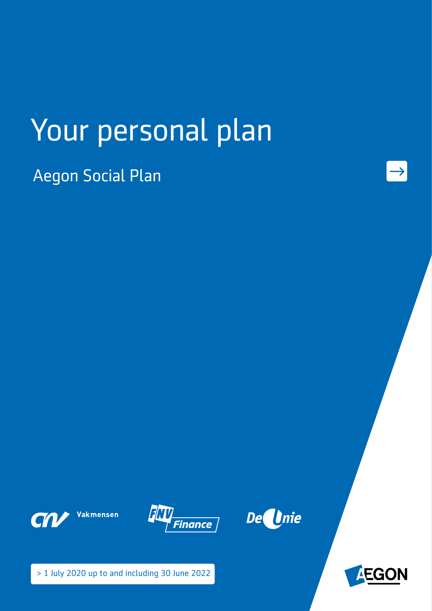# Your personal plan

## Aegon Social Plan





**Vakmensen** 



De Unie

> 1 July 2020 up to and including 30 June 2022

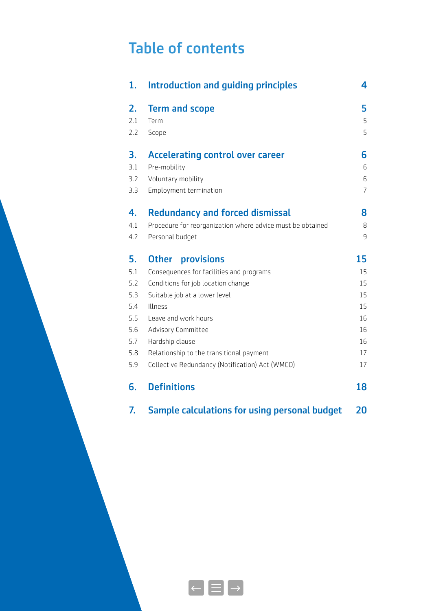## Table of contents

| 1.  | Introduction and guiding principles                        | 4              |
|-----|------------------------------------------------------------|----------------|
| 2.  | <b>Term and scope</b>                                      | 5              |
| 21  | Term                                                       | 5              |
| 2.2 | Scope                                                      | 5              |
| 3.  | <b>Accelerating control over career</b>                    | 6              |
| 3.1 | Pre-mobility                                               | 6              |
| 3.2 | Voluntary mobility                                         | 6              |
| 3.3 | Employment termination                                     | $\overline{7}$ |
| 4.  | <b>Redundancy and forced dismissal</b>                     | 8              |
| 41  | Procedure for reorganization where advice must be obtained | 8              |
| 4.2 | Personal budget                                            | 9              |
| 5.  | provisions<br><b>Other</b>                                 | 15             |
| 5.1 | Consequences for facilities and programs                   | 15             |
| 5.2 | Conditions for job location change                         | 15             |
| 5.3 | Suitable job at a lower level                              | 15             |
| 5.4 | Illness                                                    | 15             |
| 5.5 | Leave and work hours                                       | 16             |
| 5.6 | Advisory Committee                                         | 16             |
| 5.7 | Hardship clause                                            | 16             |
| 5.8 | Relationship to the transitional payment                   | 17             |
| 5.9 | Collective Redundancy (Notification) Act (WMCO)            | 17             |
| 6.  | <b>Definitions</b>                                         | 18             |
| 7.  | Sample calculations for using personal budget              | 20             |

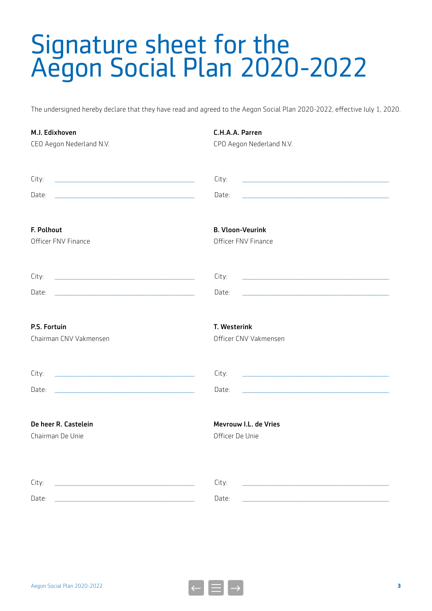## Signature sheet for the Aegon Social Plan 2020-2022

The undersigned hereby declare that they have read and agreed to the Aegon Social Plan 2020-2022, effective July 1, 2020.

| M.J. Edixhoven                                                                                                                 | C.H.A.A. Parren                                            |  |  |
|--------------------------------------------------------------------------------------------------------------------------------|------------------------------------------------------------|--|--|
| CEO Aegon Nederland N.V.                                                                                                       | CPO Aegon Nederland N.V.                                   |  |  |
| City:<br><u> 1989 - Johann Barbara, martxa alemaniar a</u>                                                                     | City:                                                      |  |  |
| Date:<br><u> 1989 - Johann Barn, mars ann an t-Amhain an t-Amhain an t-Amhain an t-Amhain an t-Amhain an t-Amhain an t-Amh</u> | Date:                                                      |  |  |
| F. Polhout                                                                                                                     | <b>B. Vloon-Veurink</b>                                    |  |  |
| Officer FNV Finance                                                                                                            | Officer FNV Finance                                        |  |  |
| City:                                                                                                                          | City:                                                      |  |  |
| Date:                                                                                                                          | Date:                                                      |  |  |
| P.S. Fortuin                                                                                                                   | T. Westerink                                               |  |  |
| Chairman CNV Vakmensen                                                                                                         | Officer CNV Vakmensen                                      |  |  |
| City:                                                                                                                          | City:                                                      |  |  |
| Date:                                                                                                                          | Date:<br><u> 1989 - Johann Barbara, martxa alemaniar a</u> |  |  |
| De heer R. Castelein                                                                                                           | Mevrouw I.L. de Vries                                      |  |  |
| Chairman De Unie                                                                                                               | Officer De Unie                                            |  |  |
|                                                                                                                                |                                                            |  |  |
| City:                                                                                                                          | City:                                                      |  |  |
| Date:                                                                                                                          | Date:                                                      |  |  |

|       | ______                  |      |
|-------|-------------------------|------|
| _____ | _____                   | ____ |
|       | __<br>_____<br>________ |      |
|       |                         |      |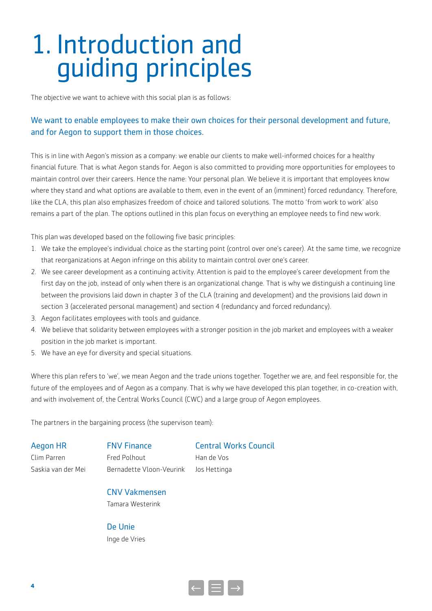## <span id="page-3-0"></span>1. Introduction and guiding principles

The objective we want to achieve with this social plan is as follows:

## We want to enable employees to make their own choices for their personal development and future, and for Aegon to support them in those choices.

This is in line with Aegon's mission as a company: we enable our clients to make well-informed choices for a healthy financial future. That is what Aegon stands for. Aegon is also committed to providing more opportunities for employees to maintain control over their careers. Hence the name: Your personal plan. We believe it is important that employees know where they stand and what options are available to them, even in the event of an (imminent) forced redundancy. Therefore, like the CLA, this plan also emphasizes freedom of choice and tailored solutions. The motto 'from work to work' also remains a part of the plan. The options outlined in this plan focus on everything an employee needs to find new work.

This plan was developed based on the following five basic principles:

- 1. We take the employee's individual choice as the starting point (control over one's career). At the same time, we recognize that reorganizations at Aegon infringe on this ability to maintain control over one's career.
- 2. We see career development as a continuing activity. Attention is paid to the employee's career development from the first day on the job, instead of only when there is an organizational change. That is why we distinguish a continuing line between the provisions laid down in chapter 3 of the CLA (training and development) and the provisions laid down in section 3 (accelerated personal management) and section 4 (redundancy and forced redundancy).
- 3. Aegon facilitates employees with tools and guidance.
- 4. We believe that solidarity between employees with a stronger position in the job market and employees with a weaker position in the job market is important.
- 5. We have an eye for diversity and special situations.

Where this plan refers to 'we', we mean Aegon and the trade unions together. Together we are, and feel responsible for, the future of the employees and of Aegon as a company. That is why we have developed this plan together, in co-creation with, and with involvement of, the Central Works Council (CWC) and a large group of Aegon employees.

The partners in the bargaining process (the supervison team):

#### Aegon HR FNV Finance Central Works Council

Clim Parren Saskia van der Mei Fred Polhout

Han de Vos Jos Hettinga

## CNV Vakmensen

Bernadette Vloon-Veurink

Tamara Westerink

### De Unie

Inge de Vries

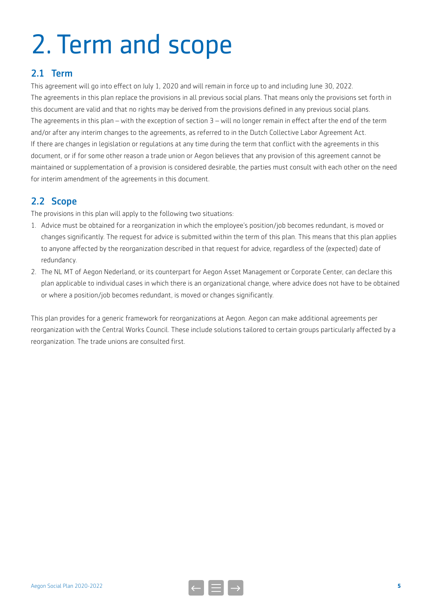# <span id="page-4-0"></span>2. Term and scope

## 2.1 Term

This agreement will go into effect on July 1, 2020 and will remain in force up to and including June 30, 2022. The agreements in this plan replace the provisions in all previous social plans. That means only the provisions set forth in this document are valid and that no rights may be derived from the provisions defined in any previous social plans. The agreements in this plan – with the exception of section 3 – will no longer remain in effect after the end of the term and/or after any interim changes to the agreements, as referred to in the Dutch Collective Labor Agreement Act. If there are changes in legislation or regulations at any time during the term that conflict with the agreements in this document, or if for some other reason a trade union or Aegon believes that any provision of this agreement cannot be maintained or supplementation of a provision is considered desirable, the parties must consult with each other on the need for interim amendment of the agreements in this document.

## 2.2 Scope

The provisions in this plan will apply to the following two situations:

- 1. Advice must be obtained for a reorganization in which the employee's position/job becomes redundant, is moved or changes significantly. The request for advice is submitted within the term of this plan. This means that this plan applies to anyone affected by the reorganization described in that request for advice, regardless of the (expected) date of redundancy.
- 2. The NL MT of Aegon Nederland, or its counterpart for Aegon Asset Management or Corporate Center, can declare this plan applicable to individual cases in which there is an organizational change, where advice does not have to be obtained or where a position/job becomes redundant, is moved or changes significantly.

This plan provides for a generic framework for reorganizations at Aegon. Aegon can make additional agreements per reorganization with the Central Works Council. These include solutions tailored to certain groups particularly affected by a reorganization. The trade unions are consulted first.

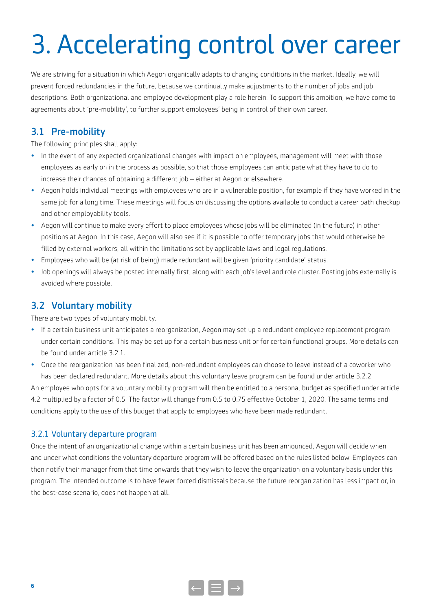# <span id="page-5-0"></span>3. Accelerating control over career

We are striving for a situation in which Aegon organically adapts to changing conditions in the market. Ideally, we will prevent forced redundancies in the future, because we continually make adjustments to the number of jobs and job descriptions. Both organizational and employee development play a role herein. To support this ambition, we have come to agreements about 'pre-mobility', to further support employees' being in control of their own career.

## 3.1 Pre-mobility

The following principles shall apply:

- In the event of any expected organizational changes with impact on employees, management will meet with those employees as early on in the process as possible, so that those employees can anticipate what they have to do to increase their chances of obtaining a different job – either at Aegon or elsewhere.
- Aegon holds individual meetings with employees who are in a vulnerable position, for example if they have worked in the same job for a long time. These meetings will focus on discussing the options available to conduct a career path checkup and other employability tools.
- Aegon will continue to make every effort to place employees whose jobs will be eliminated (in the future) in other positions at Aegon. In this case, Aegon will also see if it is possible to offer temporary jobs that would otherwise be filled by external workers, all within the limitations set by applicable laws and legal regulations.
- Employees who will be (at risk of being) made redundant will be given 'priority candidate' status.
- Job openings will always be posted internally first, along with each job's level and role cluster. Posting jobs externally is avoided where possible.

## 3.2 Voluntary mobility

There are two types of voluntary mobility.

- If a certain business unit anticipates a reorganization, Aegon may set up a redundant employee replacement program under certain conditions. This may be set up for a certain business unit or for certain functional groups. More details can be found under article 3.2.1.
- Once the reorganization has been finalized, non-redundant employees can choose to leave instead of a coworker who has been declared redundant. More details about this voluntary leave program can be found under article 3.2.2.

An employee who opts for a voluntary mobility program will then be entitled to a personal budget as specified under article 4.2 multiplied by a factor of 0.5. The factor will change from 0.5 to 0.75 effective October 1, 2020. The same terms and conditions apply to the use of this budget that apply to employees who have been made redundant.

### 3.2.1 Voluntary departure program

Once the intent of an organizational change within a certain business unit has been announced, Aegon will decide when and under what conditions the voluntary departure program will be offered based on the rules listed below. Employees can then notify their manager from that time onwards that they wish to leave the organization on a voluntary basis under this program. The intended outcome is to have fewer forced dismissals because the future reorganization has less impact or, in the best-case scenario, does not happen at all.

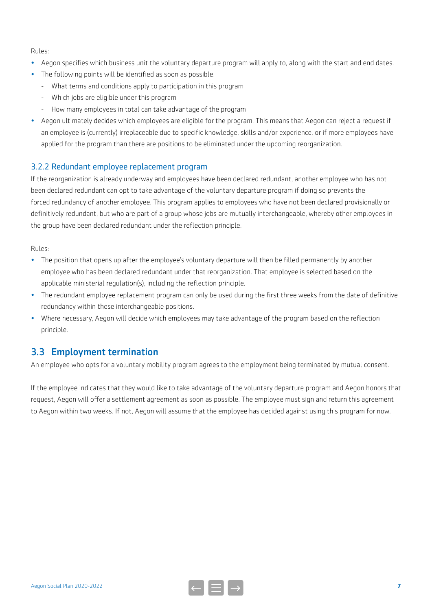#### <span id="page-6-0"></span>Rules:

- Aegon specifies which business unit the voluntary departure program will apply to, along with the start and end dates.
- The following points will be identified as soon as possible:
	- What terms and conditions apply to participation in this program
	- Which jobs are eligible under this program
	- How many employees in total can take advantage of the program
- Aegon ultimately decides which employees are eligible for the program. This means that Aegon can reject a request if an employee is (currently) irreplaceable due to specific knowledge, skills and/or experience, or if more employees have applied for the program than there are positions to be eliminated under the upcoming reorganization.

#### 3.2.2 Redundant employee replacement program

If the reorganization is already underway and employees have been declared redundant, another employee who has not been declared redundant can opt to take advantage of the voluntary departure program if doing so prevents the forced redundancy of another employee. This program applies to employees who have not been declared provisionally or definitively redundant, but who are part of a group whose jobs are mutually interchangeable, whereby other employees in the group have been declared redundant under the reflection principle.

#### Rules:

- The position that opens up after the employee's voluntary departure will then be filled permanently by another employee who has been declared redundant under that reorganization. That employee is selected based on the applicable ministerial regulation(s), including the reflection principle.
- The redundant employee replacement program can only be used during the first three weeks from the date of definitive redundancy within these interchangeable positions.
- Where necessary, Aegon will decide which employees may take advantage of the program based on the reflection principle.

## 3.3 Employment termination

An employee who opts for a voluntary mobility program agrees to the employment being terminated by mutual consent.

If the employee indicates that they would like to take advantage of the voluntary departure program and Aegon honors that request, Aegon will offer a settlement agreement as soon as possible. The employee must sign and return this agreement to Aegon within two weeks. If not, Aegon will assume that the employee has decided against using this program for now.

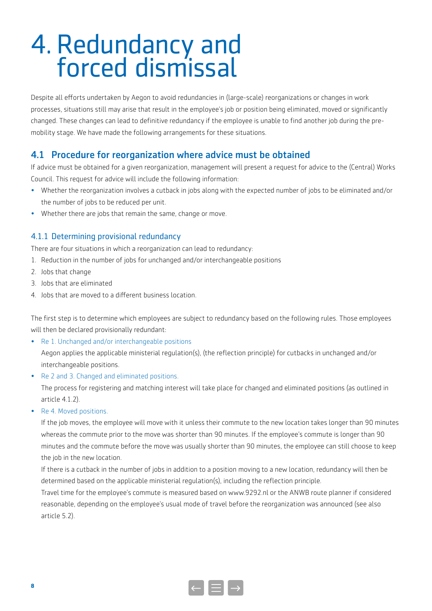## <span id="page-7-0"></span>4. Redundancy and forced dismissal

Despite all efforts undertaken by Aegon to avoid redundancies in (large-scale) reorganizations or changes in work processes, situations still may arise that result in the employee's job or position being eliminated, moved or significantly changed. These changes can lead to definitive redundancy if the employee is unable to find another job during the premobility stage. We have made the following arrangements for these situations.

## 4.1 Procedure for reorganization where advice must be obtained

If advice must be obtained for a given reorganization, management will present a request for advice to the (Central) Works Council. This request for advice will include the following information:

- Whether the reorganization involves a cutback in jobs along with the expected number of jobs to be eliminated and/or the number of jobs to be reduced per unit.
- Whether there are jobs that remain the same, change or move.

### 4.1.1 Determining provisional redundancy

There are four situations in which a reorganization can lead to redundancy:

- 1. Reduction in the number of jobs for unchanged and/or interchangeable positions
- 2. Jobs that change
- 3. Jobs that are eliminated
- 4. Jobs that are moved to a different business location.

The first step is to determine which employees are subject to redundancy based on the following rules. Those employees will then be declared provisionally redundant:

Re 1. Unchanged and/or interchangeable positions

 Aegon applies the applicable ministerial regulation(s), (the reflection principle) for cutbacks in unchanged and/or interchangeable positions.

• Re 2 and 3. Changed and eliminated positions.

 The process for registering and matching interest will take place for changed and eliminated positions (as outlined in article 4.1.2).

• Re 4. Moved positions.

 If the job moves, the employee will move with it unless their commute to the new location takes longer than 90 minutes whereas the commute prior to the move was shorter than 90 minutes. If the employee's commute is longer than 90 minutes and the commute before the move was usually shorter than 90 minutes, the employee can still choose to keep the job in the new location.

 If there is a cutback in the number of jobs in addition to a position moving to a new location, redundancy will then be determined based on the applicable ministerial regulation(s), including the reflection principle.

 Travel time for the employee's commute is measured based on www.9292.nl or the ANWB route planner if considered reasonable, depending on the employee's usual mode of travel before the reorganization was announced (see also article 5.2).

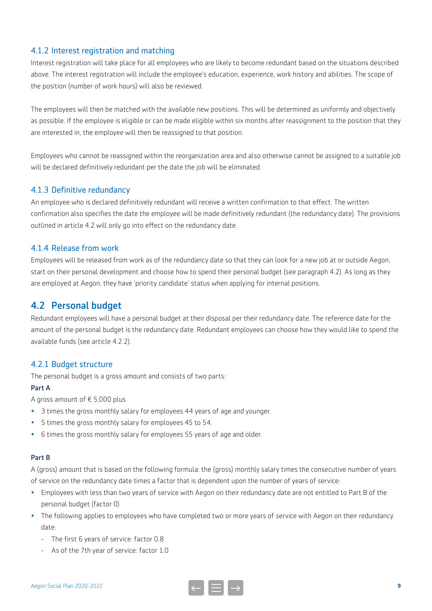#### <span id="page-8-0"></span>4.1.2 Interest registration and matching

Interest registration will take place for all employees who are likely to become redundant based on the situations described above. The interest registration will include the employee's education, experience, work history and abilities. The scope of the position (number of work hours) will also be reviewed.

The employees will then be matched with the available new positions. This will be determined as uniformly and objectively as possible. If the employee is eligible or can be made eligible within six months after reassignment to the position that they are interested in, the employee will then be reassigned to that position.

Employees who cannot be reassigned within the reorganization area and also otherwise cannot be assigned to a suitable job will be declared definitively redundant per the date the job will be eliminated.

#### 4.1.3 Definitive redundancy

An employee who is declared definitively redundant will receive a written confirmation to that effect. The written confirmation also specifies the date the employee will be made definitively redundant (the redundancy date). The provisions outlined in article 4.2 will only go into effect on the redundancy date.

#### 4.1.4 Release from work

Employees will be released from work as of the redundancy date so that they can look for a new job at or outside Aegon, start on their personal development and choose how to spend their personal budget (see paragraph 4.2). As long as they are employed at Aegon, they have 'priority candidate' status when applying for internal positions.

## 4.2 Personal budget

Redundant employees will have a personal budget at their disposal per their redundancy date. The reference date for the amount of the personal budget is the redundancy date. Redundant employees can choose how they would like to spend the available funds (see article 4.2.2).

#### 4.2.1 Budget structure

The personal budget is a gross amount and consists of two parts:

#### Part A

A gross amount of € 5,000 plus

- 3 times the gross monthly salary for employees 44 years of age and younger.
- 5 times the gross monthly salary for employees 45 to 54.
- 6 times the gross monthly salary for employees 55 years of age and older.

#### Part B

A (gross) amount that is based on the following formula: the (gross) monthly salary times the consecutive number of years of service on the redundancy date times a factor that is dependent upon the number of years of service:

- Employees with less than two years of service with Aegon on their redundancy date are not entitled to Part B of the personal budget (factor 0)
- The following applies to employees who have completed two or more years of service with Aegon on their redundancy date:
	- The first 6 years of service: factor 0.8
	- As of the 7th year of service: factor 1.0

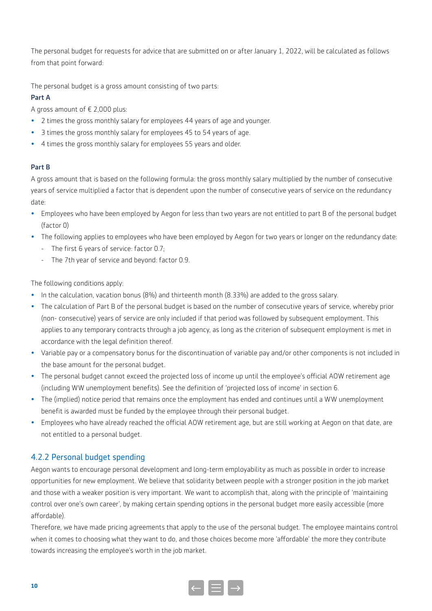The personal budget for requests for advice that are submitted on or after January 1, 2022, will be calculated as follows from that point forward:

The personal budget is a gross amount consisting of two parts:

#### Part A

A gross amount of € 2,000 plus:

- 2 times the gross monthly salary for employees 44 years of age and younger.
- 3 times the gross monthly salary for employees 45 to 54 years of age.
- 4 times the gross monthly salary for employees 55 years and older.

#### Part B

A gross amount that is based on the following formula: the gross monthly salary multiplied by the number of consecutive years of service multiplied a factor that is dependent upon the number of consecutive years of service on the redundancy date:

- Employees who have been employed by Aegon for less than two years are not entitled to part B of the personal budget (factor 0)
- The following applies to employees who have been employed by Aegon for two years or longer on the redundancy date:
	- The first 6 years of service: factor 0.7;
	- The 7th year of service and beyond: factor 0.9.

The following conditions apply:

- In the calculation, vacation bonus (8%) and thirteenth month (8.33%) are added to the gross salary.
- The calculation of Part B of the personal budget is based on the number of consecutive years of service, whereby prior (non- consecutive) years of service are only included if that period was followed by subsequent employment. This applies to any temporary contracts through a job agency, as long as the criterion of subsequent employment is met in accordance with the legal definition thereof.
- Variable pay or a compensatory bonus for the discontinuation of variable pay and/or other components is not included in the base amount for the personal budget.
- The personal budget cannot exceed the projected loss of income up until the employee's official AOW retirement age (including WW unemployment benefits). See the definition of 'projected loss of income' in section 6.
- The (implied) notice period that remains once the employment has ended and continues until a WW unemployment benefit is awarded must be funded by the employee through their personal budget.
- Employees who have already reached the official AOW retirement age, but are still working at Aegon on that date, are not entitled to a personal budget.

## 4.2.2 Personal budget spending

Aegon wants to encourage personal development and long-term employability as much as possible in order to increase opportunities for new employment. We believe that solidarity between people with a stronger position in the job market and those with a weaker position is very important. We want to accomplish that, along with the principle of 'maintaining control over one's own career', by making certain spending options in the personal budget more easily accessible (more affordable).

Therefore, we have made pricing agreements that apply to the use of the personal budget. The employee maintains control when it comes to choosing what they want to do, and those choices become more 'affordable' the more they contribute towards increasing the employee's worth in the job market.

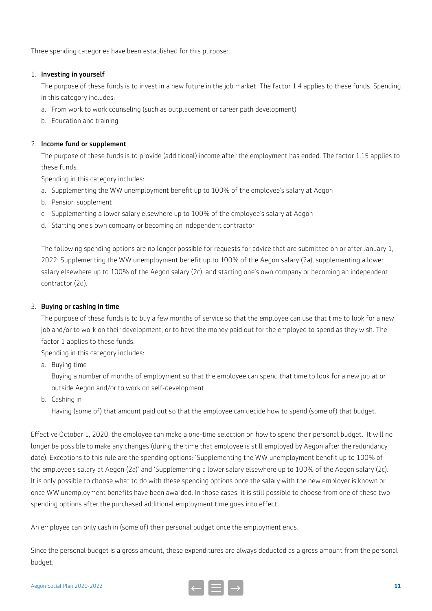Three spending categories have been established for this purpose:

#### 1. Investing in yourself

 The purpose of these funds is to invest in a new future in the job market. The factor 1.4 applies to these funds. Spending in this category includes:

- a. From work to work counseling (such as outplacement or career path development)
- b. Education and training

#### 2. Income fund or supplement

 The purpose of these funds is to provide (additional) income after the employment has ended. The factor 1.15 applies to these funds.

Spending in this category includes:

- a. Supplementing the WW unemployment benefit up to 100% of the employee's salary at Aegon
- b. Pension supplement
- c. Supplementing a lower salary elsewhere up to 100% of the employee's salary at Aegon
- d. Starting one's own company or becoming an independent contractor

 The following spending options are no longer possible for requests for advice that are submitted on or after January 1, 2022: Supplementing the WW unemployment benefit up to 100% of the Aegon salary (2a), supplementing a lower salary elsewhere up to 100% of the Aegon salary (2c), and starting one's own company or becoming an independent contractor (2d).

#### 3. Buying or cashing in time

 The purpose of these funds is to buy a few months of service so that the employee can use that time to look for a new job and/or to work on their development, or to have the money paid out for the employee to spend as they wish. The factor 1 applies to these funds.

Spending in this category includes:

a. Buying time

 Buying a number of months of employment so that the employee can spend that time to look for a new job at or outside Aegon and/or to work on self-development.

b. Cashing in

Having (some of) that amount paid out so that the employee can decide how to spend (some of) that budget.

Effective October 1, 2020, the employee can make a one-time selection on how to spend their personal budget. It will no longer be possible to make any changes (during the time that employee is still employed by Aegon after the redundancy date). Exceptions to this rule are the spending options: 'Supplementing the WW unemployment benefit up to 100% of the employee's salary at Aegon (2a)' and 'Supplementing a lower salary elsewhere up to 100% of the Aegon salary'(2c). It is only possible to choose what to do with these spending options once the salary with the new employer is known or once WW unemployment benefits have been awarded. In those cases, it is still possible to choose from one of these two spending options after the purchased additional employment time goes into effect.

An employee can only cash in (some of) their personal budget once the employment ends.

Since the personal budget is a gross amount, these expenditures are always deducted as a gross amount from the personal budget.

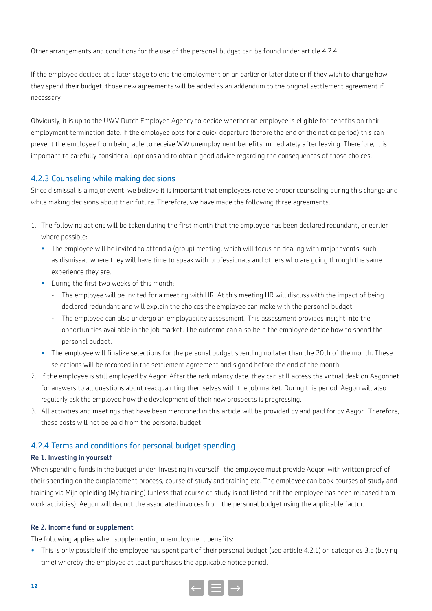Other arrangements and conditions for the use of the personal budget can be found under article 4.2.4.

If the employee decides at a later stage to end the employment on an earlier or later date or if they wish to change how they spend their budget, those new agreements will be added as an addendum to the original settlement agreement if necessary.

Obviously, it is up to the UWV Dutch Employee Agency to decide whether an employee is eligible for benefits on their employment termination date. If the employee opts for a quick departure (before the end of the notice period) this can prevent the employee from being able to receive WW unemployment benefits immediately after leaving. Therefore, it is important to carefully consider all options and to obtain good advice regarding the consequences of those choices.

### 4.2.3 Counseling while making decisions

Since dismissal is a major event, we believe it is important that employees receive proper counseling during this change and while making decisions about their future. Therefore, we have made the following three agreements.

- 1. The following actions will be taken during the first month that the employee has been declared redundant, or earlier where possible:
	- The employee will be invited to attend a (group) meeting, which will focus on dealing with major events, such as dismissal, where they will have time to speak with professionals and others who are going through the same experience they are.
	- During the first two weeks of this month:
		- The employee will be invited for a meeting with HR. At this meeting HR will discuss with the impact of being declared redundant and will explain the choices the employee can make with the personal budget.
		- The employee can also undergo an employability assessment. This assessment provides insight into the opportunities available in the job market. The outcome can also help the employee decide how to spend the personal budget.
	- The employee will finalize selections for the personal budget spending no later than the 20th of the month. These selections will be recorded in the settlement agreement and signed before the end of the month.
- 2. If the employee is still employed by Aegon After the redundancy date, they can still access the virtual desk on Aegonnet for answers to all questions about reacquainting themselves with the job market. During this period, Aegon will also regularly ask the employee how the development of their new prospects is progressing.
- 3. All activities and meetings that have been mentioned in this article will be provided by and paid for by Aegon. Therefore, these costs will not be paid from the personal budget.

## 4.2.4 Terms and conditions for personal budget spending

#### Re 1. Investing in yourself

When spending funds in the budget under 'Investing in yourself', the employee must provide Aegon with written proof of their spending on the outplacement process, course of study and training etc. The employee can book courses of study and training via Mijn opleiding (My training) (unless that course of study is not listed or if the employee has been released from work activities); Aegon will deduct the associated invoices from the personal budget using the applicable factor.

#### Re 2. Income fund or supplement

The following applies when supplementing unemployment benefits:

• This is only possible if the employee has spent part of their personal budget (see article 4.2.1) on categories 3.a (buying time) whereby the employee at least purchases the applicable notice period.

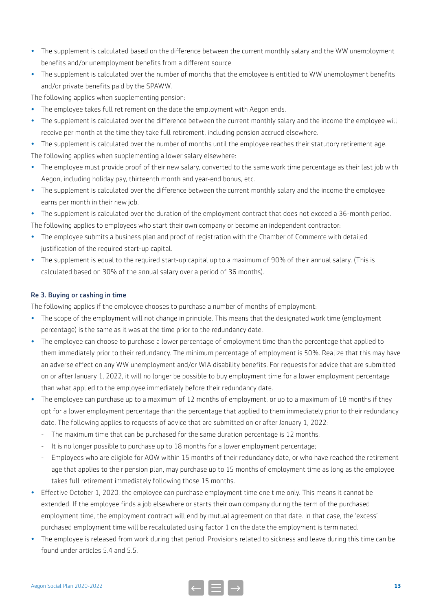- The supplement is calculated based on the difference between the current monthly salary and the WW unemployment benefits and/or unemployment benefits from a different source.
- The supplement is calculated over the number of months that the employee is entitled to WW unemployment benefits and/or private benefits paid by the SPAWW.

The following applies when supplementing pension:

- The employee takes full retirement on the date the employment with Aegon ends.
- The supplement is calculated over the difference between the current monthly salary and the income the employee will receive per month at the time they take full retirement, including pension accrued elsewhere.
- The supplement is calculated over the number of months until the employee reaches their statutory retirement age. The following applies when supplementing a lower salary elsewhere:
- The employee must provide proof of their new salary, converted to the same work time percentage as their last job with Aegon, including holiday pay, thirteenth month and year-end bonus, etc.
- The supplement is calculated over the difference between the current monthly salary and the income the employee earns per month in their new job.
- The supplement is calculated over the duration of the employment contract that does not exceed a 36-month period. The following applies to employees who start their own company or become an independent contractor:
- The employee submits a business plan and proof of registration with the Chamber of Commerce with detailed justification of the required start-up capital.
- The supplement is equal to the required start-up capital up to a maximum of 90% of their annual salary. (This is calculated based on 30% of the annual salary over a period of 36 months).

#### Re 3. Buying or cashing in time

The following applies if the employee chooses to purchase a number of months of employment:

- The scope of the employment will not change in principle. This means that the designated work time (employment percentage) is the same as it was at the time prior to the redundancy date.
- The employee can choose to purchase a lower percentage of employment time than the percentage that applied to them immediately prior to their redundancy. The minimum percentage of employment is 50%. Realize that this may have an adverse effect on any WW unemployment and/or WIA disability benefits. For requests for advice that are submitted on or after January 1, 2022, it will no longer be possible to buy employment time for a lower employment percentage than what applied to the employee immediately before their redundancy date.
- The employee can purchase up to a maximum of 12 months of employment, or up to a maximum of 18 months if they opt for a lower employment percentage than the percentage that applied to them immediately prior to their redundancy date. The following applies to requests of advice that are submitted on or after January 1, 2022:
	- The maximum time that can be purchased for the same duration percentage is 12 months;
	- It is no longer possible to purchase up to 18 months for a lower employment percentage;
	- Employees who are eligible for AOW within 15 months of their redundancy date, or who have reached the retirement age that applies to their pension plan, may purchase up to 15 months of employment time as long as the employee takes full retirement immediately following those 15 months.
- Effective October 1, 2020, the employee can purchase employment time one time only. This means it cannot be extended. If the employee finds a job elsewhere or starts their own company during the term of the purchased employment time, the employment contract will end by mutual agreement on that date. In that case, the 'excess' purchased employment time will be recalculated using factor 1 on the date the employment is terminated.
- The employee is released from work during that period. Provisions related to sickness and leave during this time can be found under articles 5.4 and 5.5.

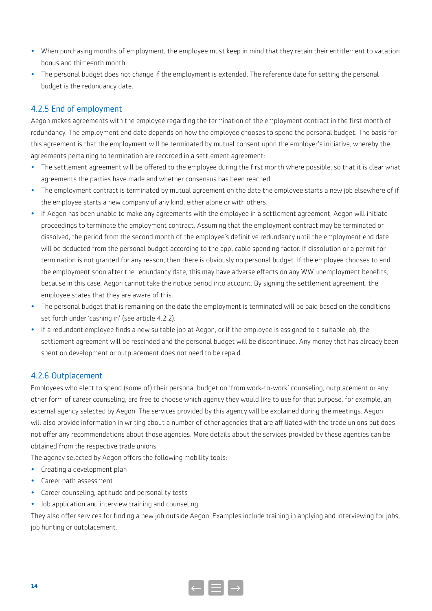- When purchasing months of employment, the employee must keep in mind that they retain their entitlement to vacation bonus and thirteenth month.
- The personal budget does not change if the employment is extended. The reference date for setting the personal budget is the redundancy date.

### 4.2.5 End of employment

Aegon makes agreements with the employee regarding the termination of the employment contract in the first month of redundancy. The employment end date depends on how the employee chooses to spend the personal budget. The basis for this agreement is that the employment will be terminated by mutual consent upon the employer's initiative, whereby the agreements pertaining to termination are recorded in a settlement agreement:

- The settlement agreement will be offered to the employee during the first month where possible, so that it is clear what agreements the parties have made and whether consensus has been reached.
- The employment contract is terminated by mutual agreement on the date the employee starts a new job elsewhere of if the employee starts a new company of any kind, either alone or with others.
- If Aegon has been unable to make any agreements with the employee in a settlement agreement, Aegon will initiate proceedings to terminate the employment contract. Assuming that the employment contract may be terminated or dissolved, the period from the second month of the employee's definitive redundancy until the employment end date will be deducted from the personal budget according to the applicable spending factor. If dissolution or a permit for termination is not granted for any reason, then there is obviously no personal budget. If the employee chooses to end the employment soon after the redundancy date, this may have adverse effects on any WW unemployment benefits, because in this case, Aegon cannot take the notice period into account. By signing the settlement agreement, the employee states that they are aware of this.
- The personal budget that is remaining on the date the employment is terminated will be paid based on the conditions set forth under 'cashing in' (see article 4.2.2).
- If a redundant employee finds a new suitable job at Aegon, or if the employee is assigned to a suitable job, the settlement agreement will be rescinded and the personal budget will be discontinued. Any money that has already been spent on development or outplacement does not need to be repaid.

### 4.2.6 Outplacement

Employees who elect to spend (some of) their personal budget on 'from work-to-work' counseling, outplacement or any other form of career counseling, are free to choose which agency they would like to use for that purpose, for example, an external agency selected by Aegon. The services provided by this agency will be explained during the meetings. Aegon will also provide information in writing about a number of other agencies that are affiliated with the trade unions but does not offer any recommendations about those agencies. More details about the services provided by these agencies can be obtained from the respective trade unions.

The agency selected by Aegon offers the following mobility tools:

- Creating a development plan
- Career path assessment
- Career counseling, aptitude and personality tests
- Job application and interview training and counseling

They also offer services for finding a new job outside Aegon. Examples include training in applying and interviewing for jobs, job hunting or outplacement.

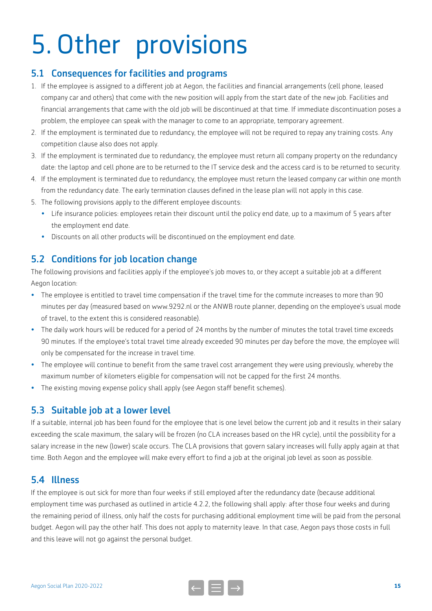# <span id="page-14-0"></span>5. Other provisions

## 5.1 Consequences for facilities and programs

- 1. If the employee is assigned to a different job at Aegon, the facilities and financial arrangements (cell phone, leased company car and others) that come with the new position will apply from the start date of the new job. Facilities and financial arrangements that came with the old job will be discontinued at that time. If immediate discontinuation poses a problem, the employee can speak with the manager to come to an appropriate, temporary agreement.
- 2. If the employment is terminated due to redundancy, the employee will not be required to repay any training costs. Any competition clause also does not apply.
- 3. If the employment is terminated due to redundancy, the employee must return all company property on the redundancy date: the laptop and cell phone are to be returned to the IT service desk and the access card is to be returned to security.
- 4. If the employment is terminated due to redundancy, the employee must return the leased company car within one month from the redundancy date. The early termination clauses defined in the lease plan will not apply in this case.
- 5. The following provisions apply to the different employee discounts:
	- Life insurance policies: employees retain their discount until the policy end date, up to a maximum of 5 years after the employment end date.
	- Discounts on all other products will be discontinued on the employment end date.

## 5.2 Conditions for job location change

The following provisions and facilities apply if the employee's job moves to, or they accept a suitable job at a different Aegon location:

- The employee is entitled to travel time compensation if the travel time for the commute increases to more than 90 minutes per day (measured based on www.9292.nl or the ANWB route planner, depending on the employee's usual mode of travel, to the extent this is considered reasonable).
- The daily work hours will be reduced for a period of 24 months by the number of minutes the total travel time exceeds 90 minutes. If the employee's total travel time already exceeded 90 minutes per day before the move, the employee will only be compensated for the increase in travel time.
- The employee will continue to benefit from the same travel cost arrangement they were using previously, whereby the maximum number of kilometers eligible for compensation will not be capped for the first 24 months.
- The existing moving expense policy shall apply (see Aegon staff benefit schemes).

## 5.3 Suitable job at a lower level

If a suitable, internal job has been found for the employee that is one level below the current job and it results in their salary exceeding the scale maximum, the salary will be frozen (no CLA increases based on the HR cycle), until the possibility for a salary increase in the new (lower) scale occurs. The CLA provisions that govern salary increases will fully apply again at that time. Both Aegon and the employee will make every effort to find a job at the original job level as soon as possible.

## 5.4 Illness

If the employee is out sick for more than four weeks if still employed after the redundancy date (because additional employment time was purchased as outlined in article 4.2.2, the following shall apply: after those four weeks and during the remaining period of illness, only half the costs for purchasing additional employment time will be paid from the personal budget. Aegon will pay the other half. This does not apply to maternity leave. In that case, Aegon pays those costs in full and this leave will not go against the personal budget.

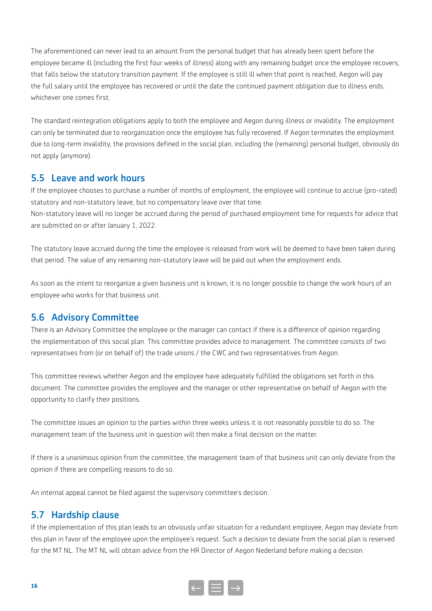<span id="page-15-0"></span>The aforementioned can never lead to an amount from the personal budget that has already been spent before the employee became ill (including the first four weeks of illness) along with any remaining budget once the employee recovers, that falls below the statutory transition payment. If the employee is still ill when that point is reached, Aegon will pay the full salary until the employee has recovered or until the date the continued payment obligation due to illness ends, whichever one comes first.

The standard reintegration obligations apply to both the employee and Aegon during illness or invalidity. The employment can only be terminated due to reorganization once the employee has fully recovered. If Aegon terminates the employment due to long-term invalidity, the provisions defined in the social plan, including the (remaining) personal budget, obviously do not apply (anymore).

## 5.5 Leave and work hours

If the employee chooses to purchase a number of months of employment, the employee will continue to accrue (pro-rated) statutory and non-statutory leave, but no compensatory leave over that time.

Non-statutory leave will no longer be accrued during the period of purchased employment time for requests for advice that are submitted on or after January 1, 2022.

The statutory leave accrued during the time the employee is released from work will be deemed to have been taken during that period. The value of any remaining non-statutory leave will be paid out when the employment ends.

As soon as the intent to reorganize a given business unit is known, it is no longer possible to change the work hours of an employee who works for that business unit.

## 5.6 Advisory Committee

There is an Advisory Committee the employee or the manager can contact if there is a difference of opinion regarding the implementation of this social plan. This committee provides advice to management. The committee consists of two representatives from (or on behalf of) the trade unions / the CWC and two representatives from Aegon.

This committee reviews whether Aegon and the employee have adequately fulfilled the obligations set forth in this document. The committee provides the employee and the manager or other representative on behalf of Aegon with the opportunity to clarify their positions.

The committee issues an opinion to the parties within three weeks unless it is not reasonably possible to do so. The management team of the business unit in question will then make a final decision on the matter.

If there is a unanimous opinion from the committee, the management team of that business unit can only deviate from the opinion if there are compelling reasons to do so.

An internal appeal cannot be filed against the supervisory committee's decision.

## 5.7 Hardship clause

If the implementation of this plan leads to an obviously unfair situation for a redundant employee, Aegon may deviate from this plan in favor of the employee upon the employee's request. Such a decision to deviate from the social plan is reserved for the MT NL. The MT NL will obtain advice from the HR Director of Aegon Nederland before making a decision.

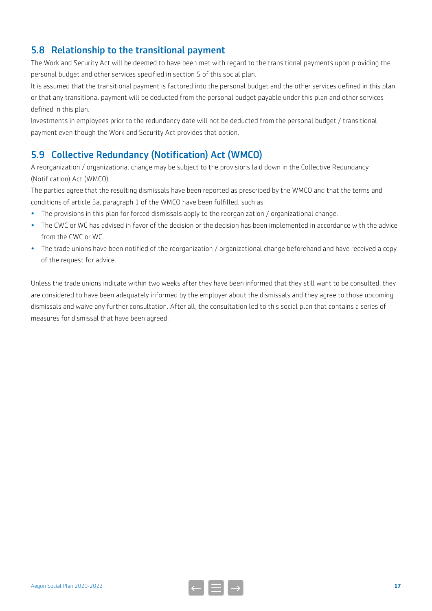## <span id="page-16-0"></span>5.8 Relationship to the transitional payment

The Work and Security Act will be deemed to have been met with regard to the transitional payments upon providing the personal budget and other services specified in section 5 of this social plan.

It is assumed that the transitional payment is factored into the personal budget and the other services defined in this plan or that any transitional payment will be deducted from the personal budget payable under this plan and other services defined in this plan.

Investments in employees prior to the redundancy date will not be deducted from the personal budget / transitional payment even though the Work and Security Act provides that option.

## 5.9 Collective Redundancy (Notification) Act (WMCO)

A reorganization / organizational change may be subject to the provisions laid down in the Collective Redundancy (Notification) Act (WMCO).

The parties agree that the resulting dismissals have been reported as prescribed by the WMCO and that the terms and conditions of article 5a, paragraph 1 of the WMCO have been fulfilled, such as:

- The provisions in this plan for forced dismissals apply to the reorganization / organizational change.
- The CWC or WC has advised in favor of the decision or the decision has been implemented in accordance with the advice from the CWC or WC.
- The trade unions have been notified of the reorganization / organizational change beforehand and have received a copy of the request for advice.

Unless the trade unions indicate within two weeks after they have been informed that they still want to be consulted, they are considered to have been adequately informed by the employer about the dismissals and they agree to those upcoming dismissals and waive any further consultation. After all, the consultation led to this social plan that contains a series of measures for dismissal that have been agreed.

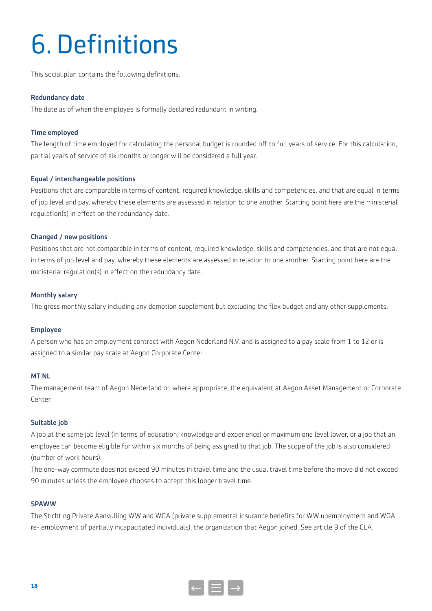# <span id="page-17-0"></span>6. Definitions

This social plan contains the following definitions:

#### Redundancy date

The date as of when the employee is formally declared redundant in writing.

#### Time employed

The length of time employed for calculating the personal budget is rounded off to full years of service. For this calculation, partial years of service of six months or longer will be considered a full year.

#### Equal / interchangeable positions

Positions that are comparable in terms of content, required knowledge, skills and competencies, and that are equal in terms of job level and pay, whereby these elements are assessed in relation to one another. Starting point here are the ministerial regulation(s) in effect on the redundancy date.

#### Changed / new positions

Positions that are not comparable in terms of content, required knowledge, skills and competencies, and that are not equal in terms of job level and pay, whereby these elements are assessed in relation to one another. Starting point here are the ministerial regulation(s) in effect on the redundancy date.

#### Monthly salary

The gross monthly salary including any demotion supplement but excluding the flex budget and any other supplements.

#### Employee

A person who has an employment contract with Aegon Nederland N.V. and is assigned to a pay scale from 1 to 12 or is assigned to a similar pay scale at Aegon Corporate Center.

#### MT NL

The management team of Aegon Nederland or, where appropriate, the equivalent at Aegon Asset Management or Corporate Center.

#### Suitable job

A job at the same job level (in terms of education, knowledge and experience) or maximum one level lower, or a job that an employee can become eligible for within six months of being assigned to that job. The scope of the job is also considered (number of work hours).

The one-way commute does not exceed 90 minutes in travel time and the usual travel time before the move did not exceed 90 minutes unless the employee chooses to accept this longer travel time.

#### **SPAWW**

The Stichting Private Aanvulling WW and WGA (private supplemental insurance benefits for WW unemployment and WGA re- employment of partially incapacitated individuals), the organization that Aegon joined. See article 9 of the CLA.

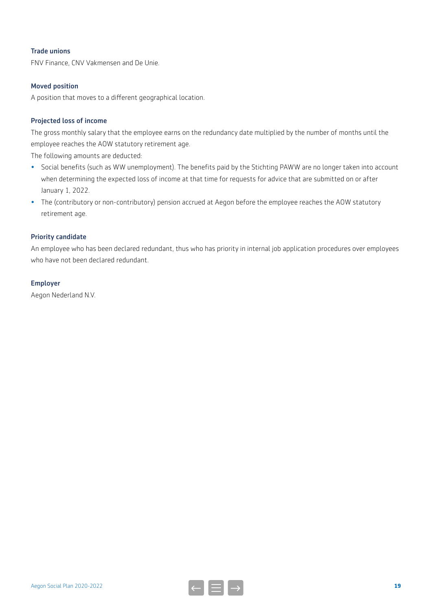#### Trade unions

FNV Finance, CNV Vakmensen and De Unie.

#### Moved position

A position that moves to a different geographical location.

#### Projected loss of income

The gross monthly salary that the employee earns on the redundancy date multiplied by the number of months until the employee reaches the AOW statutory retirement age.

The following amounts are deducted:

- Social benefits (such as WW unemployment). The benefits paid by the Stichting PAWW are no longer taken into account when determining the expected loss of income at that time for requests for advice that are submitted on or after January 1, 2022.
- The (contributory or non-contributory) pension accrued at Aegon before the employee reaches the AOW statutory retirement age.

#### Priority candidate

An employee who has been declared redundant, thus who has priority in internal job application procedures over employees who have not been declared redundant.

#### Employer

Aegon Nederland N.V.

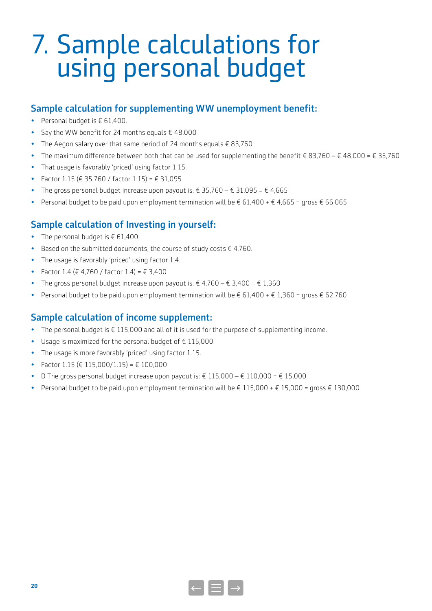## <span id="page-19-0"></span>7. Sample calculations for using personal budget

## Sample calculation for supplementing WW unemployment benefit:

- Personal budget is € 61,400.
- Say the WW benefit for 24 months equals  $\epsilon$  48,000
- The Aegon salary over that same period of 24 months equals  $\epsilon$  83,760
- The maximum difference between both that can be used for supplementing the benefit € 83,760 € 48,000 = € 35,760
- That usage is favorably 'priced' using factor 1.15.
- Factor 1.15 ( $\in$  35,760 / factor 1.15) =  $\in$  31,095
- The gross personal budget increase upon payout is:  $\epsilon$  35,760  $\epsilon$  31,095 =  $\epsilon$  4,665
- Personal budget to be paid upon employment termination will be  $\epsilon$  61,400 +  $\epsilon$  4,665 = gross  $\epsilon$  66,065

## Sample calculation of Investing in yourself:

- The personal budget is  $\epsilon$  61,400
- Based on the submitted documents, the course of study costs  $\epsilon$  4,760.
- The usage is favorably 'priced' using factor 1.4.
- Factor 1.4 ( $\in$  4,760 / factor 1.4) =  $\in$  3,400
- The gross personal budget increase upon payout is:  $\epsilon$  4,760  $\epsilon$  3,400 =  $\epsilon$  1,360
- Personal budget to be paid upon employment termination will be € 61,400 + € 1,360 = gross € 62,760

## Sample calculation of income supplement:

- The personal budget is € 115,000 and all of it is used for the purpose of supplementing income.
- Usage is maximized for the personal budget of  $\epsilon$  115,000.
- The usage is more favorably 'priced' using factor 1.15.
- Factor 1.15 ( $\text{\textsterling}$  115,000/1.15) =  $\text{\textsterling}$  100,000
- D The gross personal budget increase upon payout is:  $\in$  115,000  $\in$  110,000 =  $\in$  15,000
- Personal budget to be paid upon employment termination will be  $\epsilon$  115,000 +  $\epsilon$  15,000 = gross  $\epsilon$  130,000

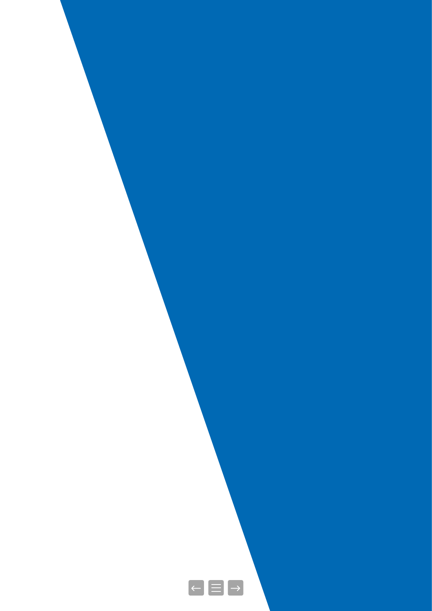